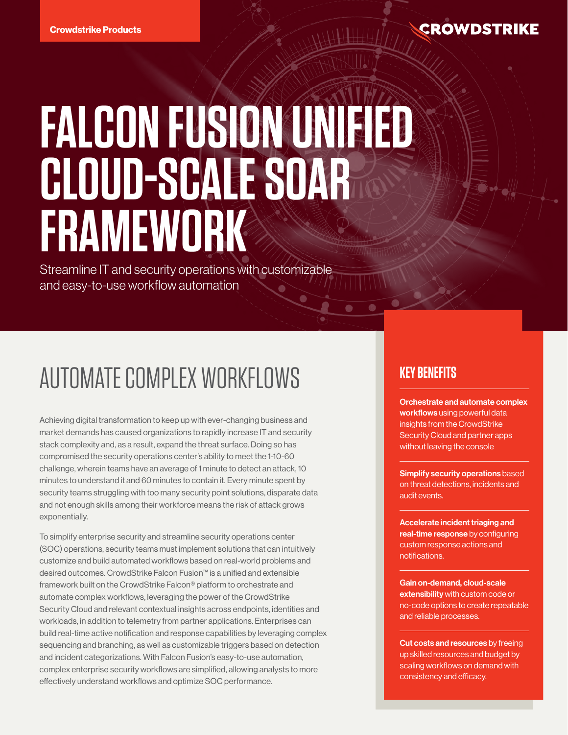### **CROWDSTRIKE**

# **FALCON FUSION UNIFIED CLOUD-SCALE SOAR FRAMEWORK**

Streamline IT and security operations with customizable and easy-to-use workflow automation

## AUTOMATE COMPLEX WORKFLOWS

Achieving digital transformation to keep up with ever-changing business and market demands has caused organizations to rapidly increase IT and security stack complexity and, as a result, expand the threat surface. Doing so has compromised the security operations center's ability to meet the 1-10-60 challenge, wherein teams have an average of 1 minute to detect an attack, 10 minutes to understand it and 60 minutes to contain it. Every minute spent by security teams struggling with too many security point solutions, disparate data and not enough skills among their workforce means the risk of attack grows exponentially.

To simplify enterprise security and streamline security operations center (SOC) operations, security teams must implement solutions that can intuitively customize and build automated workflows based on real-world problems and desired outcomes. CrowdStrike Falcon Fusion™ is a unified and extensible framework built on the CrowdStrike Falcon® platform to orchestrate and automate complex workflows, leveraging the power of the CrowdStrike Security Cloud and relevant contextual insights across endpoints, identities and workloads, in addition to telemetry from partner applications. Enterprises can build real-time active notification and response capabilities by leveraging complex sequencing and branching, as well as customizable triggers based on detection and incident categorizations. With Falcon Fusion's easy-to-use automation, complex enterprise security workflows are simplified, allowing analysts to more effectively understand workflows and optimize SOC performance.

### **KEY BENEFITS**

Orchestrate and automate complex workflows using powerful data insights from the CrowdStrike Security Cloud and partner apps without leaving the console

Simplify security operations based on threat detections, incidents and audit events.

Accelerate incident triaging and real-time response by configuring custom response actions and notifications.

Gain on-demand, cloud-scale extensibility with custom code or no-code options to create repeatable and reliable processes.

Cut costs and resources by freeing up skilled resources and budget by scaling workflows on demand with consistency and efficacy.